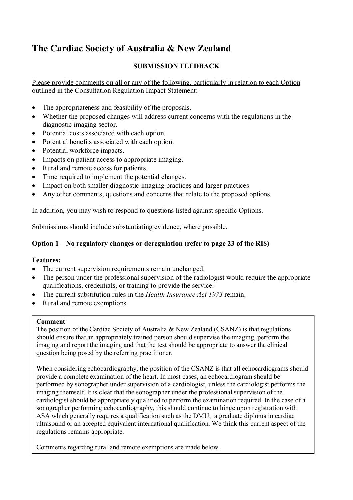# **The Cardiac Society of Australia & New Zealand**

# **SUBMISSION FEEDBACK**

Please provide comments on all or any of the following, particularly in relation to each Option outlined in the Consultation Regulation Impact Statement:

- The appropriateness and feasibility of the proposals.
- Whether the proposed changes will address current concerns with the regulations in the diagnostic imaging sector.
- Potential costs associated with each option.
- Potential benefits associated with each option.
- Potential workforce impacts.
- Impacts on patient access to appropriate imaging.
- Rural and remote access for patients.
- Time required to implement the potential changes.
- Impact on both smaller diagnostic imaging practices and larger practices.
- Any other comments, questions and concerns that relate to the proposed options.

In addition, you may wish to respond to questions listed against specific Options.

Submissions should include substantiating evidence, where possible.

# **Option 1 – No regulatory changes or deregulation (refer to page 23 of the RIS)**

## **Features:**

- The current supervision requirements remain unchanged.
- The person under the professional supervision of the radiologist would require the appropriate qualifications, credentials, or training to provide the service.
- The current substitution rules in the *Health Insurance Act 1973* remain.
- Rural and remote exemptions.

#### **Comment**

The position of the Cardiac Society of Australia & New Zealand (CSANZ) is that regulations should ensure that an appropriately trained person should supervise the imaging, perform the imaging and report the imaging and that the test should be appropriate to answer the clinical question being posed by the referring practitioner.

When considering echocardiography, the position of the CSANZ is that all echocardiograms should provide a complete examination of the heart. In most cases, an echocardiogram should be performed by sonographer under supervision of a cardiologist, unless the cardiologist performs the imaging themself. It is clear that the sonographer under the professional supervision of the cardiologist should be appropriately qualified to perform the examination required. In the case of a sonographer performing echocardiography, this should continue to hinge upon registration with ASA which generally requires a qualification such as the DMU, a graduate diploma in cardiac ultrasound or an accepted equivalent international qualification. We think this current aspect of the regulations remains appropriate.

Comments regarding rural and remote exemptions are made below.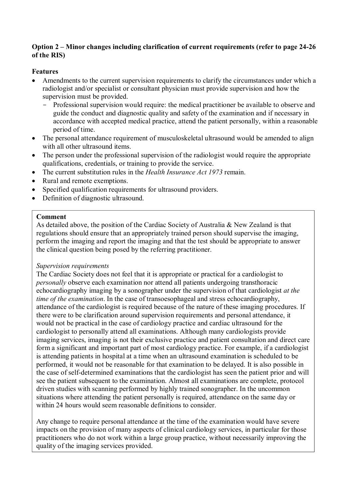## **Option 2 – Minor changes including clarification of current requirements (refer to page 24-26 of the RIS)**

# **Features**

- Amendments to the current supervision requirements to clarify the circumstances under which a radiologist and/or specialist or consultant physician must provide supervision and how the supervision must be provided.
	- Professional supervision would require: the medical practitioner be available to observe and guide the conduct and diagnostic quality and safety of the examination and if necessary in accordance with accepted medical practice, attend the patient personally, within a reasonable period of time.
- The personal attendance requirement of musculoskeletal ultrasound would be amended to align with all other ultrasound items.
- The person under the professional supervision of the radiologist would require the appropriate qualifications, credentials, or training to provide the service.
- The current substitution rules in the *Health Insurance Act 1973* remain.
- Rural and remote exemptions.
- Specified qualification requirements for ultrasound providers.
- Definition of diagnostic ultrasound.

## **Comment**

As detailed above, the position of the Cardiac Society of Australia & New Zealand is that regulations should ensure that an appropriately trained person should supervise the imaging, perform the imaging and report the imaging and that the test should be appropriate to answer the clinical question being posed by the referring practitioner.

## *Supervision requirements*

The Cardiac Society does not feel that it is appropriate or practical for a cardiologist to *personally* observe each examination nor attend all patients undergoing transthoracic echocardiography imaging by a sonographer under the supervision of that cardiologist *at the time of the examination*. In the case of transoesophageal and stress echocardiography, attendance of the cardiologist is required because of the nature of these imaging procedures. If there were to be clarification around supervision requirements and personal attendance, it would not be practical in the case of cardiology practice and cardiac ultrasound for the cardiologist to personally attend all examinations. Although many cardiologists provide imaging services, imaging is not their exclusive practice and patient consultation and direct care form a significant and important part of most cardiology practice. For example, if a cardiologist is attending patients in hospital at a time when an ultrasound examination is scheduled to be performed, it would not be reasonable for that examination to be delayed. It is also possible in the case of self-determined examinations that the cardiologist has seen the patient prior and will see the patient subsequent to the examination. Almost all examinations are complete, protocol driven studies with scanning performed by highly trained sonographer. In the uncommon situations where attending the patient personally is required, attendance on the same day or within 24 hours would seem reasonable definitions to consider.

Any change to require personal attendance at the time of the examination would have severe impacts on the provision of many aspects of clinical cardiology services, in particular for those practitioners who do not work within a large group practice, without necessarily improving the quality of the imaging services provided.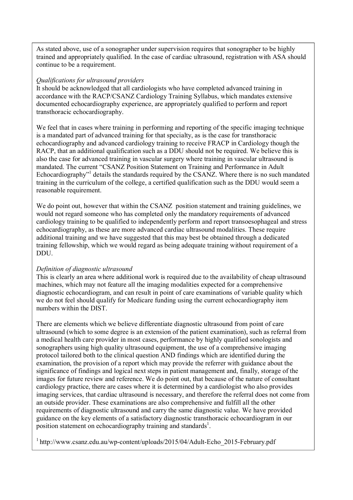As stated above, use of a sonographer under supervision requires that sonographer to be highly trained and appropriately qualified. In the case of cardiac ultrasound, registration with ASA should continue to be a requirement.

#### *Qualifications for ultrasound providers*

It should be acknowledged that all cardiologists who have completed advanced training in accordance with the RACP/CSANZ Cardiology Training Syllabus, which mandates extensive documented echocardiography experience, are appropriately qualified to perform and report transthoracic echocardiography.

We feel that in cases where training in performing and reporting of the specific imaging technique is a mandated part of advanced training for that specialty, as is the case for transthoracic echocardiography and advanced cardiology training to receive FRACP in Cardiology though the RACP, that an additional qualification such as a DDU should not be required. We believe this is also the case for advanced training in vascular surgery where training in vascular ultrasound is mandated. The current "CSANZ Position Statement on Training and Performance in Adult Echocardiography"<sup>1</sup> details the standards required by the CSANZ. Where there is no such mandated training in the curriculum of the college, a certified qualification such as the DDU would seem a reasonable requirement.

We do point out, however that within the CSANZ position statement and training guidelines, we would not regard someone who has completed only the mandatory requirements of advanced cardiology training to be qualified to independently perform and report transoesophageal and stress echocardiography, as these are more advanced cardiac ultrasound modalities. These require additional training and we have suggested that this may best be obtained through a dedicated training fellowship, which we would regard as being adequate training without requirement of a DDU.

#### *Definition of diagnostic ultrasound*

This is clearly an area where additional work is required due to the availability of cheap ultrasound machines, which may not feature all the imaging modalities expected for a comprehensive diagnostic echocardiogram, and can result in point of care examinations of variable quality which we do not feel should qualify for Medicare funding using the current echocardiography item numbers within the DIST.

There are elements which we believe differentiate diagnostic ultrasound from point of care ultrasound (which to some degree is an extension of the patient examination), such as referral from a medical health care provider in most cases, performance by highly qualified sonologists and sonographers using high quality ultrasound equipment, the use of a comprehensive imaging protocol tailored both to the clinical question AND findings which are identified during the examination, the provision of a report which may provide the referrer with guidance about the significance of findings and logical next steps in patient management and, finally, storage of the images for future review and reference. We do point out, that because of the nature of consultant cardiology practice, there are cases where it is determined by a cardiologist who also provides imaging services, that cardiac ultrasound is necessary, and therefore the referral does not come from an outside provider. These examinations are also comprehensive and fulfill all the other requirements of diagnostic ultrasound and carry the same diagnostic value. We have provided guidance on the key elements of a satisfactory diagnostic transthoracic echocardiogram in our position statement on echocardiography training and standards<sup>1</sup>.

 $1$  http://www.csanz.edu.au/wp-content/uploads/2015/04/Adult-Echo 2015-February.pdf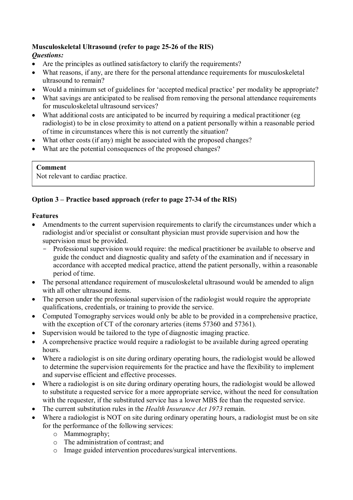#### **Musculoskeletal Ultrasound (refer to page 25-26 of the RIS)**  *Questions:*

- Are the principles as outlined satisfactory to clarify the requirements?
- What reasons, if any, are there for the personal attendance requirements for musculoskeletal ultrasound to remain?
- Would a minimum set of guidelines for 'accepted medical practice' per modality be appropriate?
- What savings are anticipated to be realised from removing the personal attendance requirements for musculoskeletal ultrasound services?
- What additional costs are anticipated to be incurred by requiring a medical practitioner (eg radiologist) to be in close proximity to attend on a patient personally within a reasonable period of time in circumstances where this is not currently the situation?
- What other costs (if any) might be associated with the proposed changes?
- What are the potential consequences of the proposed changes?

# **Comment**

Not relevant to cardiac practice.

# **Option 3 – Practice based approach (refer to page 27-34 of the RIS)**

# **Features**

- Amendments to the current supervision requirements to clarify the circumstances under which a radiologist and/or specialist or consultant physician must provide supervision and how the supervision must be provided.
	- Professional supervision would require: the medical practitioner be available to observe and guide the conduct and diagnostic quality and safety of the examination and if necessary in accordance with accepted medical practice, attend the patient personally, within a reasonable period of time.
- The personal attendance requirement of musculoskeletal ultrasound would be amended to align with all other ultrasound items.
- The person under the professional supervision of the radiologist would require the appropriate qualifications, credentials, or training to provide the service.
- Computed Tomography services would only be able to be provided in a comprehensive practice, with the exception of CT of the coronary arteries (items 57360 and 57361).
- Supervision would be tailored to the type of diagnostic imaging practice.
- A comprehensive practice would require a radiologist to be available during agreed operating hours.
- Where a radiologist is on site during ordinary operating hours, the radiologist would be allowed to determine the supervision requirements for the practice and have the flexibility to implement and supervise efficient and effective processes.
- Where a radiologist is on site during ordinary operating hours, the radiologist would be allowed to substitute a requested service for a more appropriate service, without the need for consultation with the requester, if the substituted service has a lower MBS fee than the requested service.
- The current substitution rules in the *Health Insurance Act 1973* remain.
- Where a radiologist is NOT on site during ordinary operating hours, a radiologist must be on site for the performance of the following services:
	- o Mammography;
	- o The administration of contrast; and
	- o Image guided intervention procedures/surgical interventions.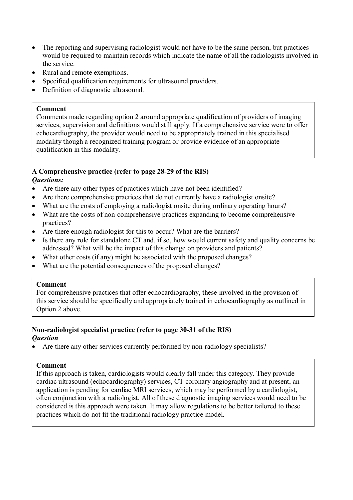- The reporting and supervising radiologist would not have to be the same person, but practices would be required to maintain records which indicate the name of all the radiologists involved in the service.
- Rural and remote exemptions.
- Specified qualification requirements for ultrasound providers.
- Definition of diagnostic ultrasound.

#### **Comment**

Comments made regarding option 2 around appropriate qualification of providers of imaging services, supervision and definitions would still apply. If a comprehensive service were to offer echocardiography, the provider would need to be appropriately trained in this specialised modality though a recognized training program or provide evidence of an appropriate qualification in this modality.

# **A Comprehensive practice (refer to page 28-29 of the RIS)**

# *Questions:*

- Are there any other types of practices which have not been identified?
- Are there comprehensive practices that do not currently have a radiologist onsite?
- What are the costs of employing a radiologist onsite during ordinary operating hours?
- What are the costs of non-comprehensive practices expanding to become comprehensive practices?
- Are there enough radiologist for this to occur? What are the barriers?
- Is there any role for standalone CT and, if so, how would current safety and quality concerns be addressed? What will be the impact of this change on providers and patients?
- What other costs (if any) might be associated with the proposed changes?
- What are the potential consequences of the proposed changes?

#### **Comment**

For comprehensive practices that offer echocardiography, these involved in the provision of this service should be specifically and appropriately trained in echocardiography as outlined in Option 2 above.

#### **Non-radiologist specialist practice (refer to page 30-31 of the RIS)**  *Question*

• Are there any other services currently performed by non-radiology specialists?

## **Comment**

If this approach is taken, cardiologists would clearly fall under this category. They provide cardiac ultrasound (echocardiography) services, CT coronary angiography and at present, an application is pending for cardiac MRI services, which may be performed by a cardiologist, often conjunction with a radiologist. All of these diagnostic imaging services would need to be considered is this approach were taken. It may allow regulations to be better tailored to these practices which do not fit the traditional radiology practice model.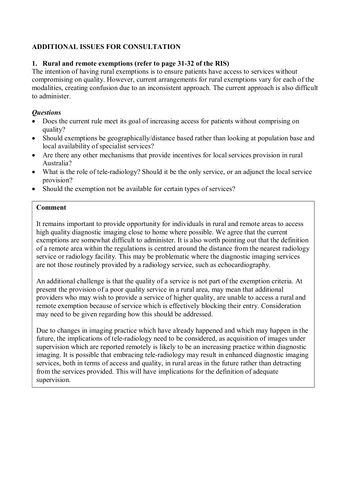# **ADDITIONAL ISSUES FOR CONSULTATION**

# **1. Rural and remote exemptions (refer to page 31-32 of the RIS)**

The intention of having rural exemptions is to ensure patients have access to services without compromising on quality. However, current arrangements for rural exemptions vary for each of the modalities, creating confusion due to an inconsistent approach. The current approach is also difficult to administer.

# *Questions*

- Does the current rule meet its goal of increasing access for patients without comprising on quality?
- Should exemptions be geographically/distance based rather than looking at population base and local availability of specialist services?
- Are there any other mechanisms that provide incentives for local services provision in rural Australia?
- What is the role of tele-radiology? Should it be the only service, or an adjunct the local service provision?
- Should the exemption not be available for certain types of services?

# **Comment**

It remains important to provide opportunity for individuals in rural and remote areas to access high quality diagnostic imaging close to home where possible. We agree that the current exemptions are somewhat difficult to administer. It is also worth pointing out that the definition of a remote area within the regulations is centred around the distance from the nearest radiology service or radiology facility. This may be problematic where the diagnostic imaging services are not those routinely provided by a radiology service, such as echocardiography.

An additional challenge is that the quality of a service is not part of the exemption criteria. At present the provision of a poor quality service in a rural area, may mean that additional providers who may wish to provide a service of higher quality, are unable to access a rural and remote exemption because of service which is effectively blocking their entry. Consideration may need to be given regarding how this should be addressed.

Due to changes in imaging practice which have already happened and which may happen in the future, the implications of tele-radiology need to be considered, as acquisition of images under supervision which are reported remotely is likely to be an increasing practice within diagnostic imaging. It is possible that embracing tele-radiology may result in enhanced diagnostic imaging services, both in terms of access and quality, in rural areas in the future rather than detracting from the services provided. This will have implications for the definition of adequate supervision.